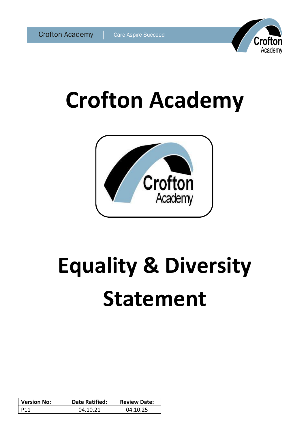

# **Crofton Academy**



# **Equality & Diversity Statement**

| <b>Version No:</b> | <b>Date Ratified:</b> | <b>Review Date:</b> |
|--------------------|-----------------------|---------------------|
| D 1 1              | በ4 1በ 21              | 04.10.25            |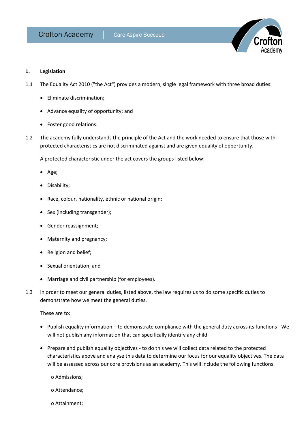

### **1. Legislation**

- 1.1 The Equality Act 2010 ("the Act") provides a modern, single legal framework with three broad duties:
	- Eliminate discrimination;
	- Advance equality of opportunity; and
	- Foster good relations.
- 1.2 The academy fully understands the principle of the Act and the work needed to ensure that those with protected characteristics are not discriminated against and are given equality of opportunity.

A protected characteristic under the act covers the groups listed below:

- Age;
- Disability;
- Race, colour, nationality, ethnic or national origin;
- Sex (including transgender);
- Gender reassignment;
- Maternity and pregnancy;
- Religion and belief;
- Sexual orientation; and
- Marriage and civil partnership (for employees).
- 1.3 In order to meet our general duties, listed above, the law requires us to do some specific duties to demonstrate how we meet the general duties.

These are to:

- Publish equality information to demonstrate compliance with the general duty across its functions We will not publish any information that can specifically identify any child.
- Prepare and publish equality objectives to do this we will collect data related to the protected characteristics above and analyse this data to determine our focus for our equality objectives. The data will be assessed across our core provisions as an academy. This will include the following functions:

o Admissions;

- o Attendance;
- o Attainment;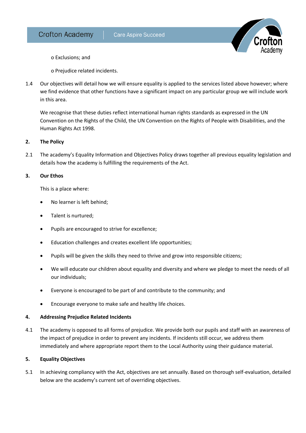

o Exclusions; and

o Prejudice related incidents.

1.4 Our objectives will detail how we will ensure equality is applied to the services listed above however; where we find evidence that other functions have a significant impact on any particular group we will include work in this area.

We recognise that these duties reflect international human rights standards as expressed in the UN Convention on the Rights of the Child, the UN Convention on the Rights of People with Disabilities, and the Human Rights Act 1998.

### **2. The Policy**

2.1 The academy's Equality Information and Objectives Policy draws together all previous equality legislation and details how the academy is fulfilling the requirements of the Act.

### **3. Our Ethos**

This is a place where:

- No learner is left behind;
- Talent is nurtured;
- Pupils are encouraged to strive for excellence;
- Education challenges and creates excellent life opportunities;
- Pupils will be given the skills they need to thrive and grow into responsible citizens;
- We will educate our children about equality and diversity and where we pledge to meet the needs of all our individuals;
- Everyone is encouraged to be part of and contribute to the community; and
- Encourage everyone to make safe and healthy life choices.

# **4. Addressing Prejudice Related Incidents**

4.1 The academy is opposed to all forms of prejudice. We provide both our pupils and staff with an awareness of the impact of prejudice in order to prevent any incidents. If incidents still occur, we address them immediately and where appropriate report them to the Local Authority using their guidance material.

# **5. Equality Objectives**

5.1 In achieving compliancy with the Act, objectives are set annually. Based on thorough self-evaluation, detailed below are the academy's current set of overriding objectives.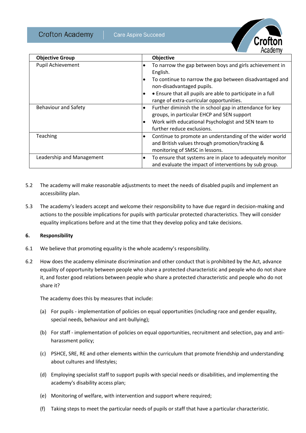**Crofton Academy** 



| <b>Objective Group</b>      | Objective                                                                                                                                                                                                                                                                                            |
|-----------------------------|------------------------------------------------------------------------------------------------------------------------------------------------------------------------------------------------------------------------------------------------------------------------------------------------------|
| Pupil Achievement           | To narrow the gap between boys and girls achievement in<br>٠<br>English.<br>To continue to narrow the gap between disadvantaged and<br>$\bullet$<br>non-disadvantaged pupils.<br>• Ensure that all pupils are able to participate in a full<br>$\bullet$<br>range of extra-curricular opportunities. |
| <b>Behaviour and Safety</b> | Further diminish the in school gap in attendance for key<br>$\bullet$<br>groups, in particular EHCP and SEN support<br>Work with educational Psychologist and SEN team to<br>$\bullet$<br>further reduce exclusions.                                                                                 |
| Teaching                    | Continue to promote an understanding of the wider world<br>٠<br>and British values through promotion/tracking &<br>monitoring of SMSC in lessons.                                                                                                                                                    |
| Leadership and Management   | To ensure that systems are in place to adequately monitor<br>٠<br>and evaluate the impact of interventions by sub group.                                                                                                                                                                             |

- 5.2 The academy will make reasonable adjustments to meet the needs of disabled pupils and implement an accessibility plan.
- 5.3 The academy's leaders accept and welcome their responsibility to have due regard in decision-making and actions to the possible implications for pupils with particular protected characteristics. They will consider equality implications before and at the time that they develop policy and take decisions.

### **6. Responsibility**

- 6.1 We believe that promoting equality is the whole academy's responsibility.
- 6.2 How does the academy eliminate discrimination and other conduct that is prohibited by the Act, advance equality of opportunity between people who share a protected characteristic and people who do not share it, and foster good relations between people who share a protected characteristic and people who do not share it?

The academy does this by measures that include:

- (a) For pupils implementation of policies on equal opportunities (including race and gender equality, special needs, behaviour and ant-bullying);
- (b) For staff implementation of policies on equal opportunities, recruitment and selection, pay and antiharassment policy;
- (c) PSHCE, SRE, RE and other elements within the curriculum that promote friendship and understanding about cultures and lifestyles;
- (d) Employing specialist staff to support pupils with special needs or disabilities, and implementing the academy's disability access plan;
- (e) Monitoring of welfare, with intervention and support where required;
- (f) Taking steps to meet the particular needs of pupils or staff that have a particular characteristic.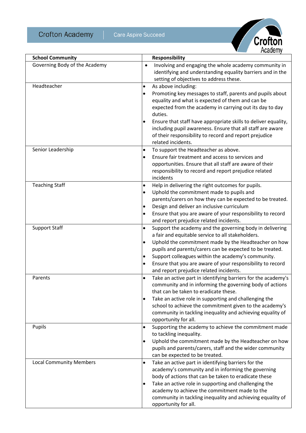**Crofton Academy** 



| <b>School Community</b>        |           | <b>Responsibility</b>                                                                                                                                                                                        |
|--------------------------------|-----------|--------------------------------------------------------------------------------------------------------------------------------------------------------------------------------------------------------------|
| Governing Body of the Academy  | $\bullet$ | Involving and engaging the whole academy community in<br>identifying and understanding equality barriers and in the<br>setting of objectives to address these.                                               |
| Headteacher                    | $\bullet$ | As above including:                                                                                                                                                                                          |
|                                | $\bullet$ | Promoting key messages to staff, parents and pupils about<br>equality and what is expected of them and can be<br>expected from the academy in carrying out its day to day<br>duties.                         |
|                                |           | Ensure that staff have appropriate skills to deliver equality,<br>including pupil awareness. Ensure that all staff are aware<br>of their responsibility to record and report prejudice<br>related incidents. |
| Senior Leadership              | $\bullet$ | To support the Headteacher as above.                                                                                                                                                                         |
|                                | $\bullet$ | Ensure fair treatment and access to services and                                                                                                                                                             |
|                                |           | opportunities. Ensure that all staff are aware of their                                                                                                                                                      |
|                                |           | responsibility to record and report prejudice related                                                                                                                                                        |
|                                |           | incidents                                                                                                                                                                                                    |
| <b>Teaching Staff</b>          | ٠         | Help in delivering the right outcomes for pupils.                                                                                                                                                            |
|                                | $\bullet$ | Uphold the commitment made to pupils and                                                                                                                                                                     |
|                                | $\bullet$ | parents/carers on how they can be expected to be treated.<br>Design and deliver an inclusive curriculum                                                                                                      |
|                                | $\bullet$ | Ensure that you are aware of your responsibility to record                                                                                                                                                   |
|                                |           | and report prejudice related incidents.                                                                                                                                                                      |
| <b>Support Staff</b>           | $\bullet$ | Support the academy and the governing body in delivering                                                                                                                                                     |
|                                |           | a fair and equitable service to all stakeholders.                                                                                                                                                            |
|                                | ٠         | Uphold the commitment made by the Headteacher on how                                                                                                                                                         |
|                                |           | pupils and parents/carers can be expected to be treated.                                                                                                                                                     |
|                                | $\bullet$ | Support colleagues within the academy's community.                                                                                                                                                           |
|                                | $\bullet$ | Ensure that you are aware of your responsibility to record                                                                                                                                                   |
|                                |           | and report prejudice related incidents.                                                                                                                                                                      |
| Parents                        | $\bullet$ | Take an active part in identifying barriers for the academy's                                                                                                                                                |
|                                |           | community and in informing the governing body of actions<br>that can be taken to eradicate these.                                                                                                            |
|                                | $\bullet$ | Take an active role in supporting and challenging the                                                                                                                                                        |
|                                |           | school to achieve the commitment given to the academy's                                                                                                                                                      |
|                                |           | community in tackling inequality and achieving equality of                                                                                                                                                   |
|                                |           | opportunity for all.                                                                                                                                                                                         |
| Pupils                         | $\bullet$ | Supporting the academy to achieve the commitment made                                                                                                                                                        |
|                                |           | to tackling inequality.                                                                                                                                                                                      |
|                                | $\bullet$ | Uphold the commitment made by the Headteacher on how                                                                                                                                                         |
|                                |           | pupils and parents/carers, staff and the wider community                                                                                                                                                     |
|                                |           | can be expected to be treated.                                                                                                                                                                               |
| <b>Local Community Members</b> | $\bullet$ | Take an active part in identifying barriers for the                                                                                                                                                          |
|                                |           | academy's community and in informing the governing<br>body of actions that can be taken to eradicate these                                                                                                   |
|                                | $\bullet$ | Take an active role in supporting and challenging the                                                                                                                                                        |
|                                |           | academy to achieve the commitment made to the                                                                                                                                                                |
|                                |           | community in tackling inequality and achieving equality of                                                                                                                                                   |
|                                |           | opportunity for all.                                                                                                                                                                                         |
|                                |           |                                                                                                                                                                                                              |